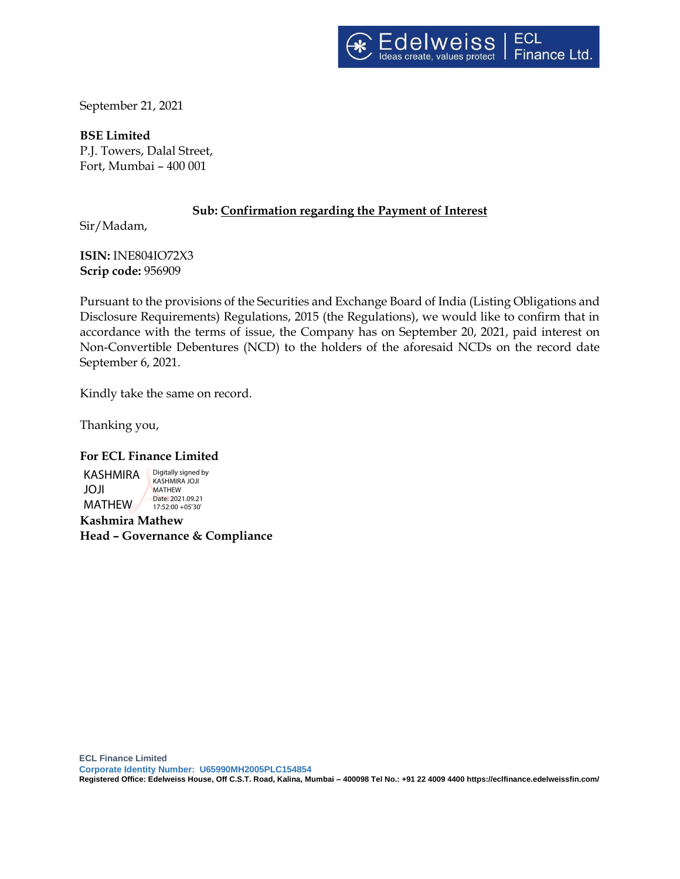September 21, 2021

**BSE Limited** P.J. Towers, Dalal Street, Fort, Mumbai – 400 001

# **Sub: Confirmation regarding the Payment of Interest**

Sir/Madam,

**ISIN:** INE804IO72X3 **Scrip code:** 956909

Pursuant to the provisions of the Securities and Exchange Board of India (Listing Obligations and Disclosure Requirements) Regulations, 2015 (the Regulations), we would like to confirm that in accordance with the terms of issue, the Company has on September 20, 2021, paid interest on Non-Convertible Debentures (NCD) to the holders of the aforesaid NCDs on the record date September 6, 2021.

Kindly take the same on record.

Thanking you,

#### **For ECL Finance Limited**

KASHMIRA JOJI **MATHFW** Digitally signed by KASHMIRA JOJI MATHEW Date: 2021.09.21 17:52:00 +05'30'

**Kashmira Mathew Head – Governance & Compliance**